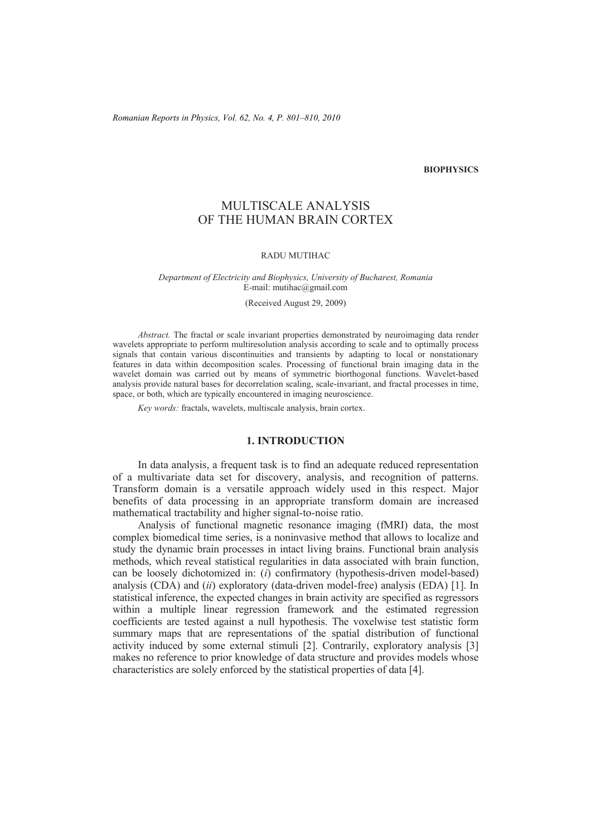*Romanian Reports in Physics, Vol. 62, No. 4, P. 801–810, 2010* 

#### **BIOPHYSICS**

# MULTISCALE ANALYSIS OF THE HUMAN BRAIN CORTEX

#### RADU MUTIHAC

#### *Department of Electricity and Biophysics, University of Bucharest, Romania*  E-mail: mutihac@gmail.com

#### (Received August 29, 2009)

*Abstract.* The fractal or scale invariant properties demonstrated by neuroimaging data render wavelets appropriate to perform multiresolution analysis according to scale and to optimally process signals that contain various discontinuities and transients by adapting to local or nonstationary features in data within decomposition scales. Processing of functional brain imaging data in the wavelet domain was carried out by means of symmetric biorthogonal functions. Wavelet-based analysis provide natural bases for decorrelation scaling, scale-invariant, and fractal processes in time, space, or both, which are typically encountered in imaging neuroscience.

*Key words:* fractals, wavelets, multiscale analysis, brain cortex.

#### **1. INTRODUCTION**

In data analysis, a frequent task is to find an adequate reduced representation of a multivariate data set for discovery, analysis, and recognition of patterns. Transform domain is a versatile approach widely used in this respect. Major benefits of data processing in an appropriate transform domain are increased mathematical tractability and higher signal-to-noise ratio.

Analysis of functional magnetic resonance imaging (fMRI) data, the most complex biomedical time series, is a noninvasive method that allows to localize and study the dynamic brain processes in intact living brains. Functional brain analysis methods, which reveal statistical regularities in data associated with brain function, can be loosely dichotomized in: (*i*) confirmatory (hypothesis-driven model-based) analysis (CDA) and (*ii*) exploratory (data-driven model-free) analysis (EDA) [1]. In statistical inference, the expected changes in brain activity are specified as regressors within a multiple linear regression framework and the estimated regression coefficients are tested against a null hypothesis. The voxelwise test statistic form summary maps that are representations of the spatial distribution of functional activity induced by some external stimuli [2]. Contrarily, exploratory analysis [3] makes no reference to prior knowledge of data structure and provides models whose characteristics are solely enforced by the statistical properties of data [4].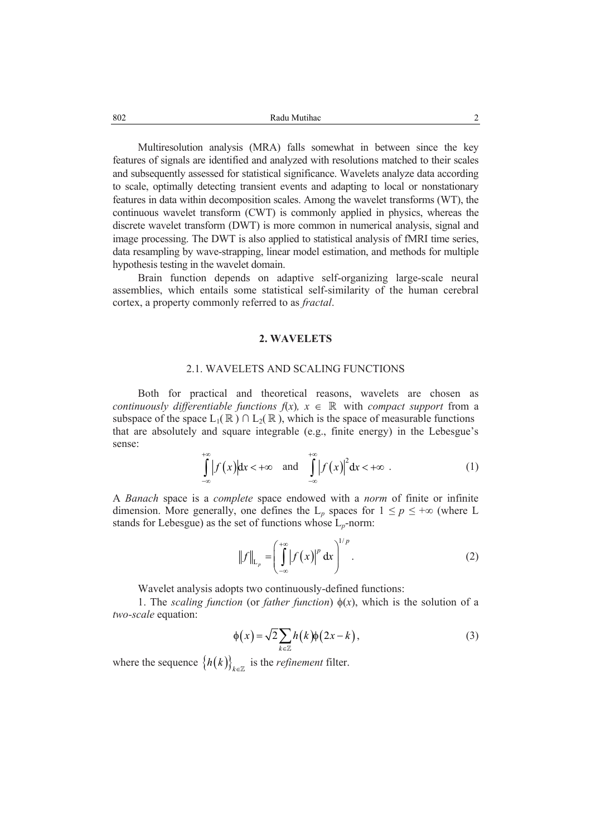Multiresolution analysis (MRA) falls somewhat in between since the key features of signals are identified and analyzed with resolutions matched to their scales and subsequently assessed for statistical significance. Wavelets analyze data according to scale, optimally detecting transient events and adapting to local or nonstationary features in data within decomposition scales. Among the wavelet transforms (WT), the continuous wavelet transform (CWT) is commonly applied in physics, whereas the discrete wavelet transform (DWT) is more common in numerical analysis, signal and image processing. The DWT is also applied to statistical analysis of fMRI time series, data resampling by wave-strapping, linear model estimation, and methods for multiple hypothesis testing in the wavelet domain.

Brain function depends on adaptive self-organizing large-scale neural assemblies, which entails some statistical self-similarity of the human cerebral cortex, a property commonly referred to as *fractal*.

# **2. WAVELETS**

# 2.1. WAVELETS AND SCALING FUNCTIONS

Both for practical and theoretical reasons, wavelets are chosen as *continuously differentiable functions*  $f(x)$ ,  $x \in \mathbb{R}$  with *compact support* from a subspace of the space  $L_1(\mathbb{R}) \cap L_2(\mathbb{R})$ , which is the space of measurable functions that are absolutely and square integrable (e.g., finite energy) in the Lebesgue's sense:

$$
\int_{-\infty}^{+\infty} |f(x)| dx < +\infty \quad \text{and} \quad \int_{-\infty}^{+\infty} |f(x)|^2 dx < +\infty \quad . \tag{1}
$$

A *Banach* space is a *complete* space endowed with a *norm* of finite or infinite dimension. More generally, one defines the  $L_p$  spaces for  $1 \leq p \leq +\infty$  (where L stands for Lebesgue) as the set of functions whose L*p*-norm:

$$
\|f\|_{L_p} = \left(\int_{-\infty}^{+\infty} |f(x)|^p dx\right)^{1/p}.
$$
 (2)

Wavelet analysis adopts two continuously-defined functions:

1. The *scaling function* (or *father function*)  $\phi(x)$ , which is the solution of a *two-scale* equation:

$$
\phi(x) = \sqrt{2} \sum_{k \in \mathbb{Z}} h(k) \phi(2x - k), \tag{3}
$$

where the sequence  ${h(k)}_{k \in \mathbb{Z}}$  is the *refinement* filter.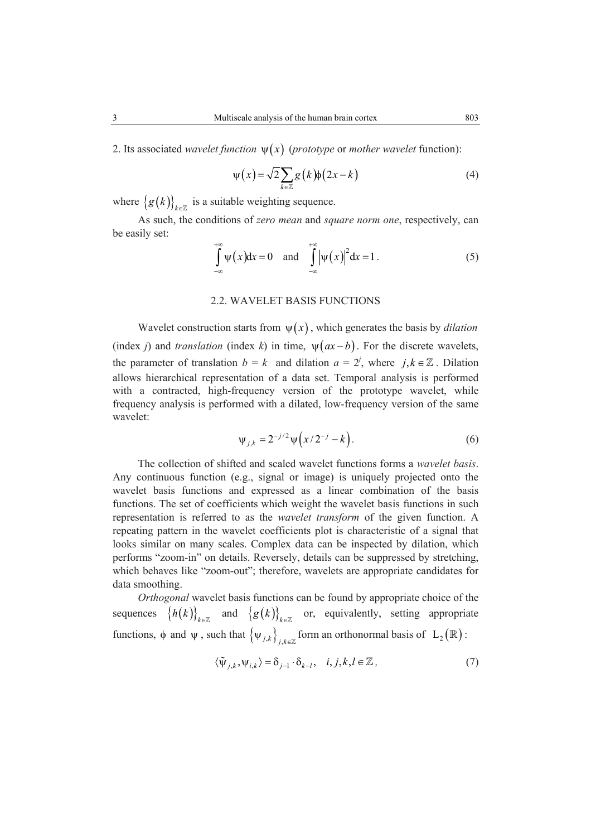2. Its associated *wavelet function*  $\psi(x)$  (*prototype* or *mother wavelet* function):

$$
\psi(x) = \sqrt{2} \sum_{k \in \mathbb{Z}} g(k) \phi(2x - k)
$$
 (4)

where  ${g(k)}_{k\in\mathbb{Z}}$  is a suitable weighting sequence.

As such, the conditions of *zero mean* and *square norm one*, respectively, can be easily set:

$$
\int_{-\infty}^{+\infty} \psi(x) dx = 0 \quad \text{and} \quad \int_{-\infty}^{+\infty} \left| \psi(x) \right|^2 dx = 1. \tag{5}
$$

# 2.2. WAVELET BASIS FUNCTIONS

Wavelet construction starts from  $\psi(x)$ , which generates the basis by *dilation* (index *j*) and *translation* (index *k*) in time,  $\psi(ax - b)$ . For the discrete wavelets, the parameter of translation  $b = k$  and dilation  $a = 2^j$ , where  $j, k \in \mathbb{Z}$ . Dilation allows hierarchical representation of a data set. Temporal analysis is performed with a contracted, high-frequency version of the prototype wavelet, while frequency analysis is performed with a dilated, low-frequency version of the same wavelet:

$$
\psi_{j,k} = 2^{-j/2} \psi\left(x/2^{-j} - k\right). \tag{6}
$$

The collection of shifted and scaled wavelet functions forms a *wavelet basis*. Any continuous function (e.g., signal or image) is uniquely projected onto the wavelet basis functions and expressed as a linear combination of the basis functions. The set of coefficients which weight the wavelet basis functions in such representation is referred to as the *wavelet transform* of the given function. A repeating pattern in the wavelet coefficients plot is characteristic of a signal that looks similar on many scales. Complex data can be inspected by dilation, which performs "zoom-in" on details. Reversely, details can be suppressed by stretching, which behaves like "zoom-out"; therefore, wavelets are appropriate candidates for data smoothing.

*Orthogonal* wavelet basis functions can be found by appropriate choice of the sequences  $\{h(k)\}_{k\in\mathbb{Z}}$  and  $\{g(k)\}_{k\in\mathbb{Z}}$  or, equivalently, setting appropriate functions,  $\phi$  and  $\psi$ , such that  $\{\psi_{j,k}\}_{j,k\in\mathbb{Z}}$  form an orthonormal basis of  $L_2(\mathbb{R})$ :

$$
\langle \tilde{\psi}_{j,k}, \psi_{i,k} \rangle = \delta_{j-1} \cdot \delta_{k-l}, \quad i, j, k, l \in \mathbb{Z}, \tag{7}
$$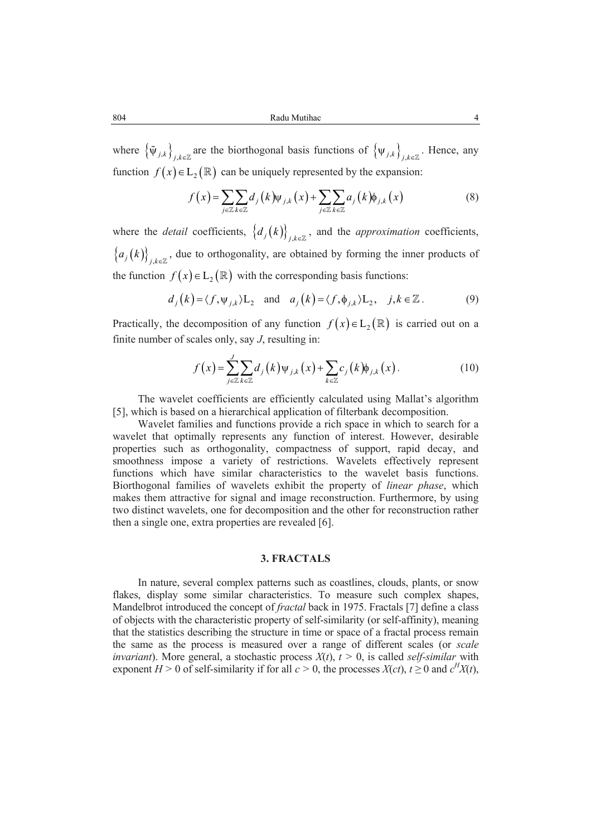where  $\{\tilde{\Psi}_{j,k}\}_{i,k\in\mathbb{Z}}$  are the biorthogonal basis functions of  $\{\Psi_{j,k}\}_{j,k\in\mathbb{Z}}$ . Hence, any function  $f(x) \in L_2(\mathbb{R})$  can be uniquely represented by the expansion:

$$
f(x) = \sum_{j \in \mathbb{Z}} \sum_{k \in \mathbb{Z}} d_j(k) \psi_{j,k}(x) + \sum_{j \in \mathbb{Z}} \sum_{k \in \mathbb{Z}} a_j(k) \phi_{j,k}(x)
$$
(8)

where the *detail* coefficients,  $\{d_j(k)\}_{j,k\in\mathbb{Z}}$ , and the *approximation* coefficients,  ${a_j(k)}_{j,k\in\mathbb{Z}}$ , due to orthogonality, are obtained by forming the inner products of the function  $f(x) \in L_2(\mathbb{R})$  with the corresponding basis functions:

$$
d_j(k) = \langle f, \psi_{j,k} \rangle L_2
$$
 and  $a_j(k) = \langle f, \phi_{j,k} \rangle L_2$ ,  $j,k \in \mathbb{Z}$ . (9)

Practically, the decomposition of any function  $f(x) \in L_2(\mathbb{R})$  is carried out on a finite number of scales only, say *J*, resulting in:

$$
f(x) = \sum_{j\in\mathbb{Z}}^J \sum_{k\in\mathbb{Z}} d_j(k) \psi_{j,k}(x) + \sum_{k\in\mathbb{Z}} c_j(k) \phi_{j,k}(x).
$$
 (10)

The wavelet coefficients are efficiently calculated using Mallat's algorithm [5], which is based on a hierarchical application of filterbank decomposition.

Wavelet families and functions provide a rich space in which to search for a wavelet that optimally represents any function of interest. However, desirable properties such as orthogonality, compactness of support, rapid decay, and smoothness impose a variety of restrictions. Wavelets effectively represent functions which have similar characteristics to the wavelet basis functions. Biorthogonal families of wavelets exhibit the property of *linear phase*, which makes them attractive for signal and image reconstruction. Furthermore, by using two distinct wavelets, one for decomposition and the other for reconstruction rather then a single one, extra properties are revealed [6].

# **3. FRACTALS**

In nature, several complex patterns such as coastlines, clouds, plants, or snow flakes, display some similar characteristics. To measure such complex shapes, Mandelbrot introduced the concept of *fractal* back in 1975. Fractals [7] define a class of objects with the characteristic property of self-similarity (or self-affinity), meaning that the statistics describing the structure in time or space of a fractal process remain the same as the process is measured over a range of different scales (or *scale invariant*). More general, a stochastic process  $X(t)$ ,  $t > 0$ , is called *self-similar* with exponent *H* > 0 of self-similarity if for all  $c$  > 0, the processes *X*(*ct*),  $t \ge 0$  and  $c^H X(t)$ ,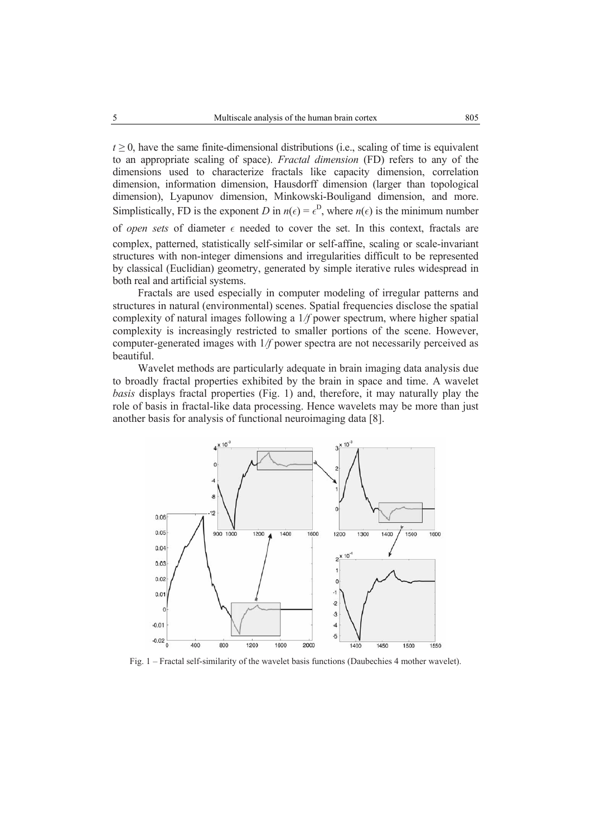$t \geq 0$ , have the same finite-dimensional distributions (i.e., scaling of time is equivalent to an appropriate scaling of space). *Fractal dimension* (FD) refers to any of the dimensions used to characterize fractals like capacity dimension, correlation dimension, information dimension, Hausdorff dimension (larger than topological dimension), Lyapunov dimension, Minkowski-Bouligand dimension, and more. Simplistically, FD is the exponent *D* in  $n(\epsilon) = \epsilon^D$ , where  $n(\epsilon)$  is the minimum number of *open sets* of diameter ε needed to cover the set. In this context, fractals are complex, patterned, statistically self-similar or self-affine, scaling or scale-invariant structures with non-integer dimensions and irregularities difficult to be represented by classical (Euclidian) geometry, generated by simple iterative rules widespread in both real and artificial systems.

Fractals are used especially in computer modeling of irregular patterns and structures in natural (environmental) scenes. Spatial frequencies disclose the spatial complexity of natural images following a 1*/f* power spectrum, where higher spatial complexity is increasingly restricted to smaller portions of the scene. However, computer-generated images with 1*/f* power spectra are not necessarily perceived as beautiful.

Wavelet methods are particularly adequate in brain imaging data analysis due to broadly fractal properties exhibited by the brain in space and time. A wavelet *basis* displays fractal properties (Fig. 1) and, therefore, it may naturally play the role of basis in fractal-like data processing. Hence wavelets may be more than just another basis for analysis of functional neuroimaging data [8].



Fig. 1 – Fractal self-similarity of the wavelet basis functions (Daubechies 4 mother wavelet).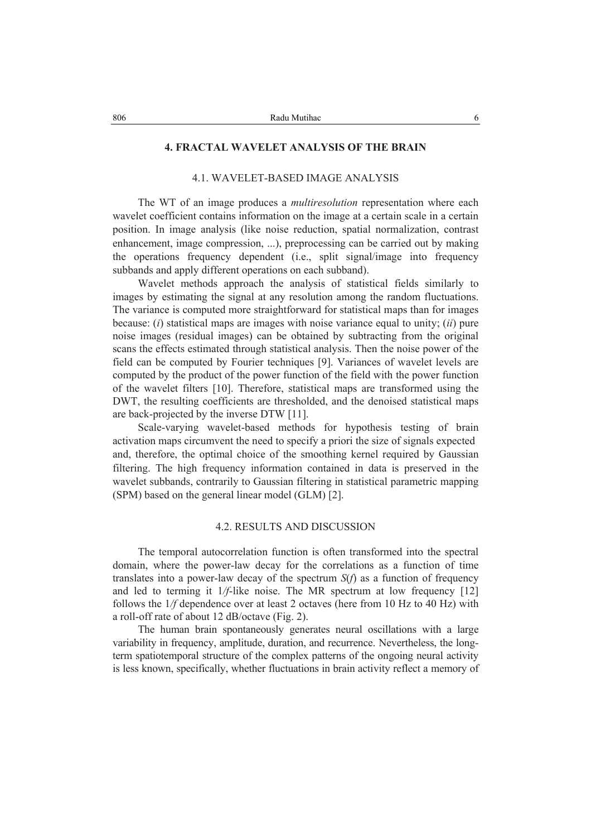# **4. FRACTAL WAVELET ANALYSIS OF THE BRAIN**

# 4.1. WAVELET-BASED IMAGE ANALYSIS

The WT of an image produces a *multiresolution* representation where each wavelet coefficient contains information on the image at a certain scale in a certain position. In image analysis (like noise reduction, spatial normalization, contrast enhancement, image compression, ...), preprocessing can be carried out by making the operations frequency dependent (i.e., split signal/image into frequency subbands and apply different operations on each subband).

Wavelet methods approach the analysis of statistical fields similarly to images by estimating the signal at any resolution among the random fluctuations. The variance is computed more straightforward for statistical maps than for images because: (*i*) statistical maps are images with noise variance equal to unity; (*ii*) pure noise images (residual images) can be obtained by subtracting from the original scans the effects estimated through statistical analysis. Then the noise power of the field can be computed by Fourier techniques [9]. Variances of wavelet levels are computed by the product of the power function of the field with the power function of the wavelet filters [10]. Therefore, statistical maps are transformed using the DWT, the resulting coefficients are thresholded, and the denoised statistical maps are back-projected by the inverse DTW [11].

Scale-varying wavelet-based methods for hypothesis testing of brain activation maps circumvent the need to specify a priori the size of signals expected and, therefore, the optimal choice of the smoothing kernel required by Gaussian filtering. The high frequency information contained in data is preserved in the wavelet subbands, contrarily to Gaussian filtering in statistical parametric mapping (SPM) based on the general linear model (GLM) [2].

#### 4.2. RESULTS AND DISCUSSION

The temporal autocorrelation function is often transformed into the spectral domain, where the power-law decay for the correlations as a function of time translates into a power-law decay of the spectrum *S*(*f*) as a function of frequency and led to terming it 1*/f*-like noise. The MR spectrum at low frequency [12] follows the  $1/f$  dependence over at least 2 octaves (here from 10 Hz to 40 Hz) with a roll-off rate of about 12 dB/octave (Fig. 2).

The human brain spontaneously generates neural oscillations with a large variability in frequency, amplitude, duration, and recurrence. Nevertheless, the longterm spatiotemporal structure of the complex patterns of the ongoing neural activity is less known, specifically, whether fluctuations in brain activity reflect a memory of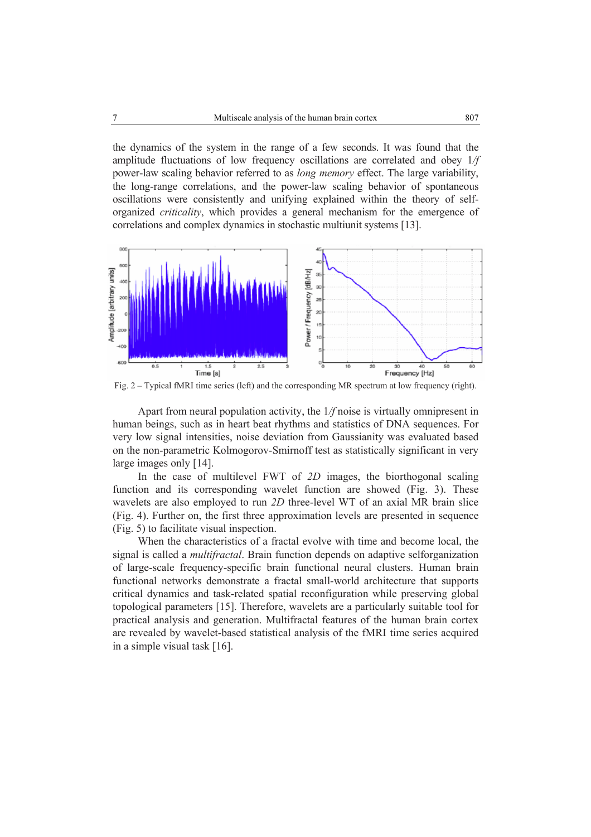the dynamics of the system in the range of a few seconds. It was found that the amplitude fluctuations of low frequency oscillations are correlated and obey 1*/f*  power-law scaling behavior referred to as *long memory* effect. The large variability, the long-range correlations, and the power-law scaling behavior of spontaneous oscillations were consistently and unifying explained within the theory of selforganized *criticality*, which provides a general mechanism for the emergence of correlations and complex dynamics in stochastic multiunit systems [13].



Fig. 2 – Typical fMRI time series (left) and the corresponding MR spectrum at low frequency (right).

Apart from neural population activity, the 1*/f* noise is virtually omnipresent in human beings, such as in heart beat rhythms and statistics of DNA sequences. For very low signal intensities, noise deviation from Gaussianity was evaluated based on the non-parametric Kolmogorov-Smirnoff test as statistically significant in very large images only [14].

In the case of multilevel FWT of *2D* images, the biorthogonal scaling function and its corresponding wavelet function are showed (Fig. 3). These wavelets are also employed to run *2D* three-level WT of an axial MR brain slice (Fig. 4). Further on, the first three approximation levels are presented in sequence (Fig. 5) to facilitate visual inspection.

When the characteristics of a fractal evolve with time and become local, the signal is called a *multifractal*. Brain function depends on adaptive selforganization of large-scale frequency-specific brain functional neural clusters. Human brain functional networks demonstrate a fractal small-world architecture that supports critical dynamics and task-related spatial reconfiguration while preserving global topological parameters [15]. Therefore, wavelets are a particularly suitable tool for practical analysis and generation. Multifractal features of the human brain cortex are revealed by wavelet-based statistical analysis of the fMRI time series acquired in a simple visual task [16].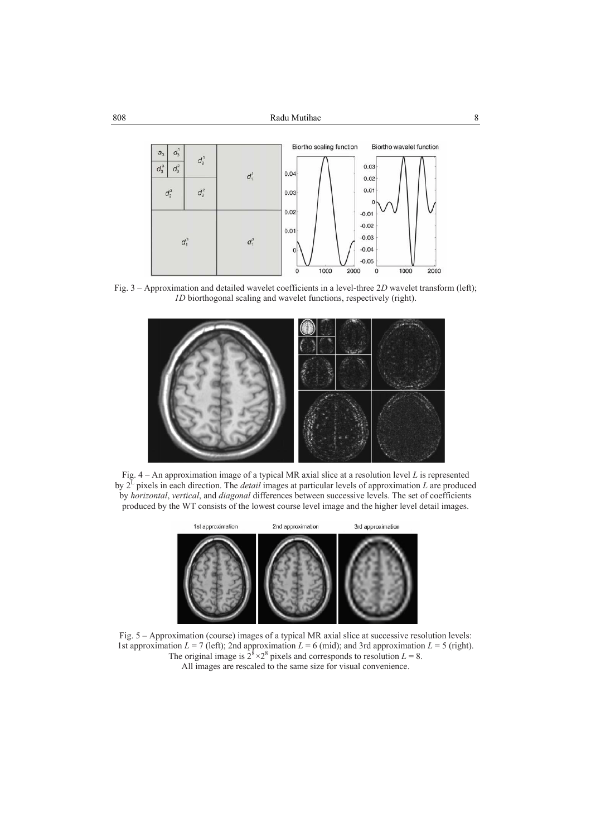

Fig. 3 – Approximation and detailed wavelet coefficients in a level-three 2*D* wavelet transform (left); *1D* biorthogonal scaling and wavelet functions, respectively (right).







Fig. 5 – Approximation (course) images of a typical MR axial slice at successive resolution levels: 1st approximation  $L = 7$  (left); 2nd approximation  $L = 6$  (mid); and 3rd approximation  $L = 5$  (right). The original image is  $2^8 \times 2^8$  pixels and corresponds to resolution  $L = 8$ . All images are rescaled to the same size for visual convenience.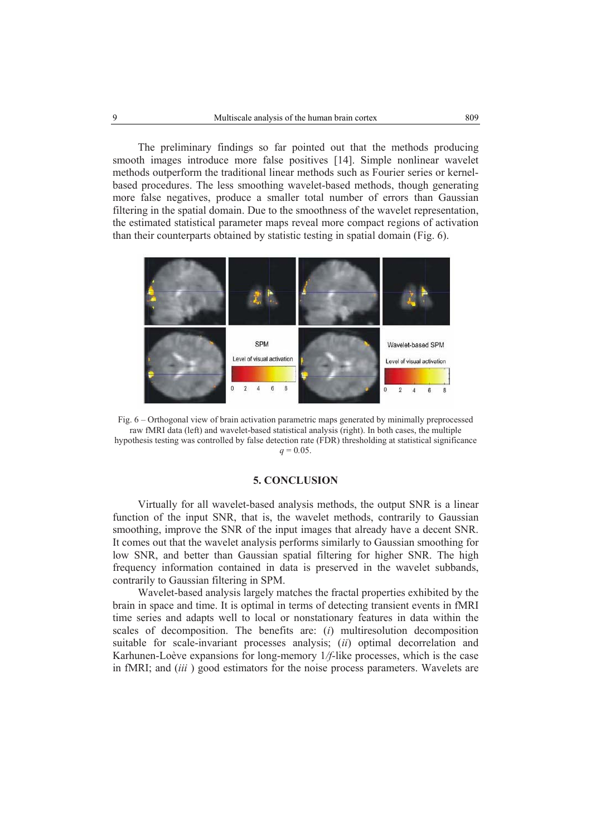The preliminary findings so far pointed out that the methods producing smooth images introduce more false positives [14]. Simple nonlinear wavelet methods outperform the traditional linear methods such as Fourier series or kernelbased procedures. The less smoothing wavelet-based methods, though generating more false negatives, produce a smaller total number of errors than Gaussian filtering in the spatial domain. Due to the smoothness of the wavelet representation, the estimated statistical parameter maps reveal more compact regions of activation than their counterparts obtained by statistic testing in spatial domain (Fig. 6).



Fig. 6 – Orthogonal view of brain activation parametric maps generated by minimally preprocessed raw fMRI data (left) and wavelet-based statistical analysis (right). In both cases, the multiple hypothesis testing was controlled by false detection rate (FDR) thresholding at statistical significance  $q = 0.05$ .

#### **5. CONCLUSION**

Virtually for all wavelet-based analysis methods, the output SNR is a linear function of the input SNR, that is, the wavelet methods, contrarily to Gaussian smoothing, improve the SNR of the input images that already have a decent SNR. It comes out that the wavelet analysis performs similarly to Gaussian smoothing for low SNR, and better than Gaussian spatial filtering for higher SNR. The high frequency information contained in data is preserved in the wavelet subbands, contrarily to Gaussian filtering in SPM.

Wavelet-based analysis largely matches the fractal properties exhibited by the brain in space and time. It is optimal in terms of detecting transient events in fMRI time series and adapts well to local or nonstationary features in data within the scales of decomposition. The benefits are: (*i*) multiresolution decomposition suitable for scale-invariant processes analysis; (*ii*) optimal decorrelation and Karhunen-Loève expansions for long-memory 1*/f*-like processes, which is the case in fMRI; and (*iii* ) good estimators for the noise process parameters. Wavelets are